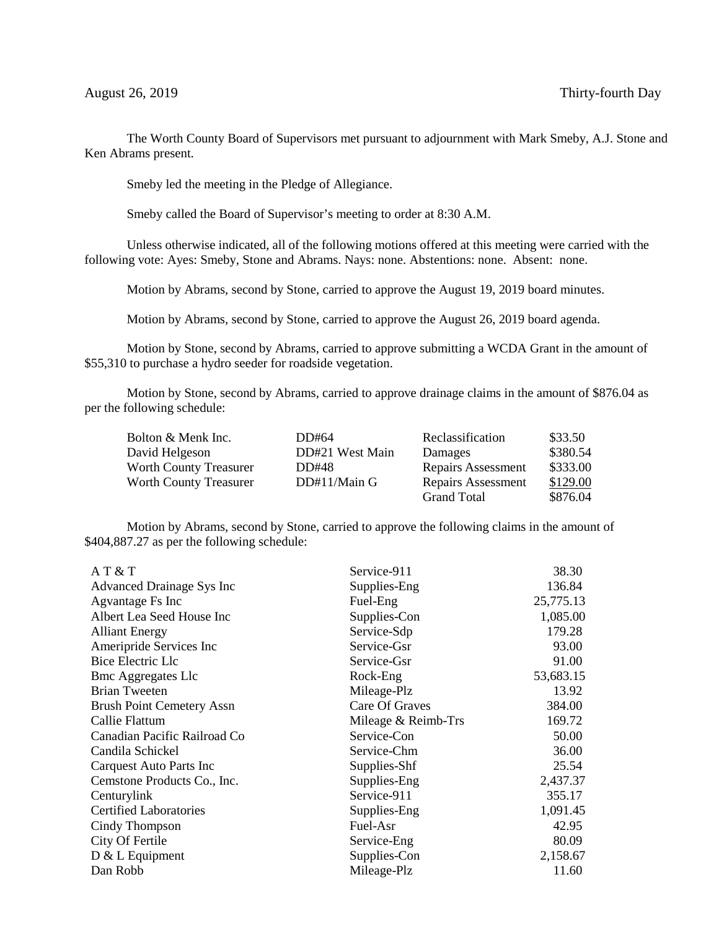The Worth County Board of Supervisors met pursuant to adjournment with Mark Smeby, A.J. Stone and Ken Abrams present.

Smeby led the meeting in the Pledge of Allegiance.

Smeby called the Board of Supervisor's meeting to order at 8:30 A.M.

Unless otherwise indicated, all of the following motions offered at this meeting were carried with the following vote: Ayes: Smeby, Stone and Abrams. Nays: none. Abstentions: none. Absent: none.

Motion by Abrams, second by Stone, carried to approve the August 19, 2019 board minutes.

Motion by Abrams, second by Stone, carried to approve the August 26, 2019 board agenda.

Motion by Stone, second by Abrams, carried to approve submitting a WCDA Grant in the amount of \$55,310 to purchase a hydro seeder for roadside vegetation.

Motion by Stone, second by Abrams, carried to approve drainage claims in the amount of \$876.04 as per the following schedule:

| Bolton & Menk Inc.            | DD#64           | Reclassification          | \$33.50  |
|-------------------------------|-----------------|---------------------------|----------|
| David Helgeson                | DD#21 West Main | Damages                   | \$380.54 |
| <b>Worth County Treasurer</b> | DD#48           | <b>Repairs Assessment</b> | \$333.00 |
| <b>Worth County Treasurer</b> | DD#11/Main G    | <b>Repairs Assessment</b> | \$129.00 |
|                               |                 | <b>Grand Total</b>        | \$876.04 |

Motion by Abrams, second by Stone, carried to approve the following claims in the amount of \$404,887.27 as per the following schedule:

| AT & T                           | Service-911         | 38.30     |
|----------------------------------|---------------------|-----------|
| Advanced Drainage Sys Inc        | Supplies-Eng        | 136.84    |
| Agvantage Fs Inc                 | Fuel-Eng            | 25,775.13 |
| Albert Lea Seed House Inc        | Supplies-Con        | 1,085.00  |
| <b>Alliant Energy</b>            | Service-Sdp         | 179.28    |
| Ameripride Services Inc          | Service-Gsr         | 93.00     |
| Bice Electric Llc                | Service-Gsr         | 91.00     |
| <b>Bmc Aggregates Llc</b>        | Rock-Eng            | 53,683.15 |
| <b>Brian Tweeten</b>             | Mileage-Plz         | 13.92     |
| <b>Brush Point Cemetery Assn</b> | Care Of Graves      | 384.00    |
| Callie Flattum                   | Mileage & Reimb-Trs | 169.72    |
| Canadian Pacific Railroad Co     | Service-Con         | 50.00     |
| Candila Schickel                 | Service-Chm         | 36.00     |
| Carquest Auto Parts Inc          | Supplies-Shf        | 25.54     |
| Cemstone Products Co., Inc.      | Supplies-Eng        | 2,437.37  |
| Centurylink                      | Service-911         | 355.17    |
| <b>Certified Laboratories</b>    | Supplies-Eng        | 1,091.45  |
| Cindy Thompson                   | Fuel-Asr            | 42.95     |
| City Of Fertile                  | Service-Eng         | 80.09     |
| $D & L$ Equipment                | Supplies-Con        | 2,158.67  |
| Dan Robb                         | Mileage-Plz         | 11.60     |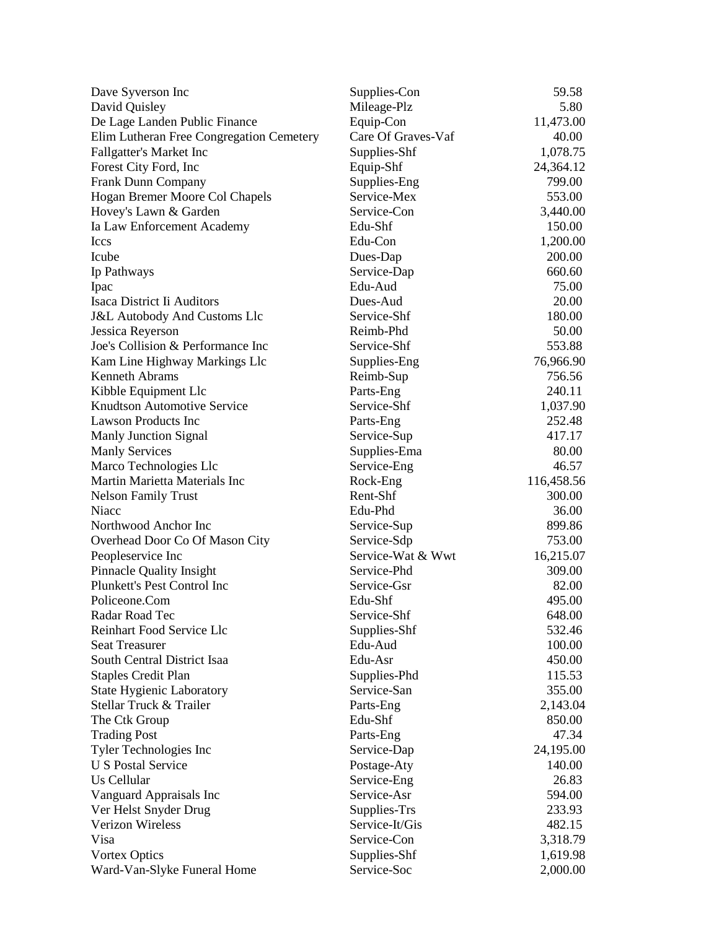| Dave Syverson Inc                                     | Supplies-Con       | 59.58               |
|-------------------------------------------------------|--------------------|---------------------|
| David Quisley                                         | Mileage-Plz        | 5.80                |
| De Lage Landen Public Finance                         | Equip-Con          | 11,473.00           |
| Elim Lutheran Free Congregation Cemetery              | Care Of Graves-Vaf | 40.00               |
| Fallgatter's Market Inc                               | Supplies-Shf       | 1,078.75            |
| Forest City Ford, Inc.                                | Equip-Shf          | 24,364.12           |
| Frank Dunn Company                                    | Supplies-Eng       | 799.00              |
| Hogan Bremer Moore Col Chapels                        | Service-Mex        | 553.00              |
| Hovey's Lawn & Garden                                 | Service-Con        | 3,440.00            |
| Ia Law Enforcement Academy                            | Edu-Shf            | 150.00              |
| <b>Iccs</b>                                           | Edu-Con            | 1,200.00            |
| Icube                                                 | Dues-Dap           | 200.00              |
| Ip Pathways                                           | Service-Dap        | 660.60              |
| Ipac                                                  | Edu-Aud            | 75.00               |
| Isaca District Ii Auditors                            | Dues-Aud           | 20.00               |
| <b>J&amp;L Autobody And Customs Llc</b>               | Service-Shf        | 180.00              |
|                                                       | Reimb-Phd          | 50.00               |
| Jessica Reyerson<br>Joe's Collision & Performance Inc | Service-Shf        | 553.88              |
|                                                       |                    |                     |
| Kam Line Highway Markings Llc                         | Supplies-Eng       | 76,966.90<br>756.56 |
| <b>Kenneth Abrams</b>                                 | Reimb-Sup          |                     |
| Kibble Equipment Llc                                  | Parts-Eng          | 240.11              |
| <b>Knudtson Automotive Service</b>                    | Service-Shf        | 1,037.90            |
| <b>Lawson Products Inc</b>                            | Parts-Eng          | 252.48              |
| <b>Manly Junction Signal</b>                          | Service-Sup        | 417.17              |
| <b>Manly Services</b>                                 | Supplies-Ema       | 80.00               |
| Marco Technologies Llc                                | Service-Eng        | 46.57               |
| Martin Marietta Materials Inc                         | Rock-Eng           | 116,458.56          |
| <b>Nelson Family Trust</b>                            | Rent-Shf           | 300.00              |
| <b>Niacc</b>                                          | Edu-Phd            | 36.00               |
| Northwood Anchor Inc                                  | Service-Sup        | 899.86              |
| Overhead Door Co Of Mason City                        | Service-Sdp        | 753.00              |
| Peopleservice Inc                                     | Service-Wat & Wwt  | 16,215.07           |
| <b>Pinnacle Quality Insight</b>                       | Service-Phd        | 309.00              |
| Plunkett's Pest Control Inc                           | Service-Gsr        | 82.00               |
| Policeone.Com                                         | Edu-Shf            | 495.00              |
| Radar Road Tec                                        | Service-Shf        | 648.00              |
| Reinhart Food Service Llc                             | Supplies-Shf       | 532.46              |
| <b>Seat Treasurer</b>                                 | Edu-Aud            | 100.00              |
| South Central District Isaa                           | Edu-Asr            | 450.00              |
| <b>Staples Credit Plan</b>                            | Supplies-Phd       | 115.53              |
| State Hygienic Laboratory                             | Service-San        | 355.00              |
| Stellar Truck & Trailer                               | Parts-Eng          | 2,143.04            |
| The Ctk Group                                         | Edu-Shf            | 850.00              |
| <b>Trading Post</b>                                   | Parts-Eng          | 47.34               |
| Tyler Technologies Inc                                | Service-Dap        | 24,195.00           |
| <b>U S Postal Service</b>                             | Postage-Aty        | 140.00              |
| Us Cellular                                           | Service-Eng        | 26.83               |
| Vanguard Appraisals Inc                               | Service-Asr        | 594.00              |
| Ver Helst Snyder Drug                                 | Supplies-Trs       | 233.93              |
| <b>Verizon Wireless</b>                               | Service-It/Gis     | 482.15              |
| Visa                                                  | Service-Con        | 3,318.79            |
| <b>Vortex Optics</b>                                  | Supplies-Shf       | 1,619.98            |
| Ward-Van-Slyke Funeral Home                           | Service-Soc        | 2,000.00            |
|                                                       |                    |                     |